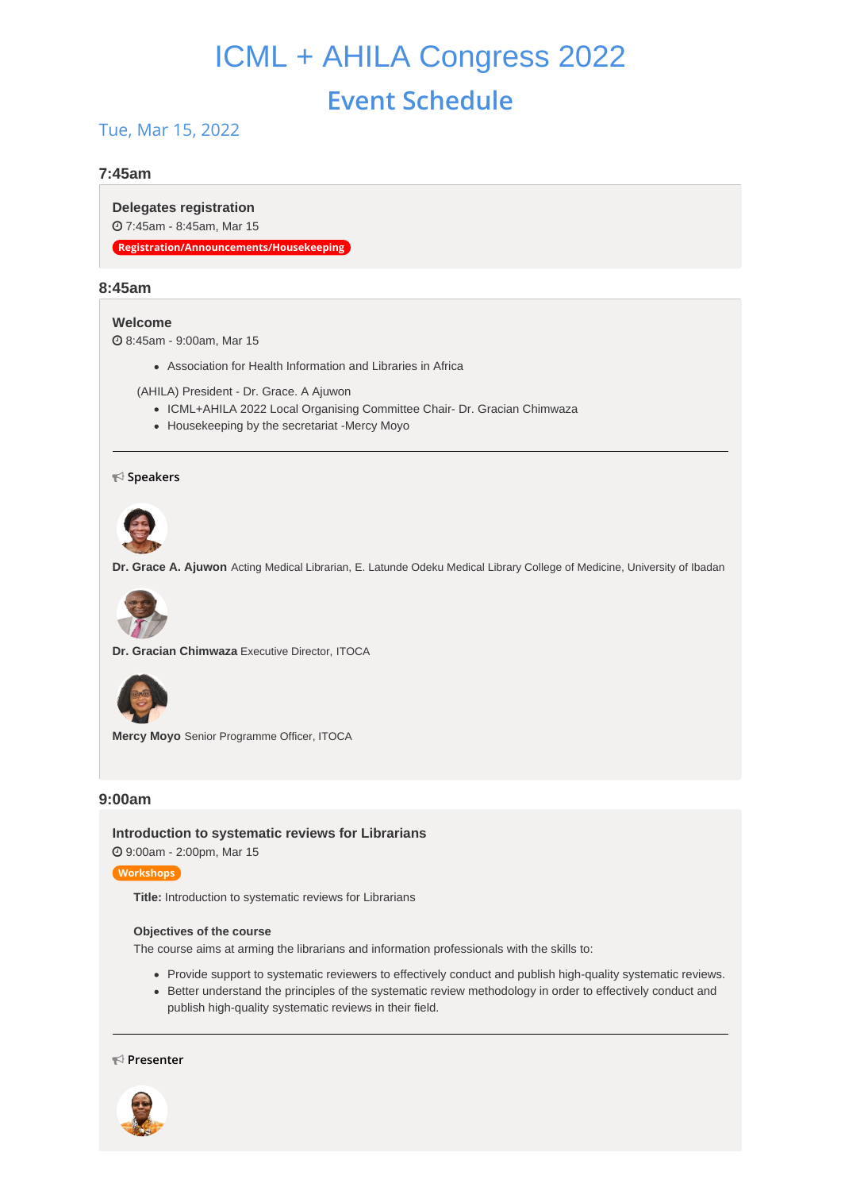# ICML + AHILA Congress 2022 **Event Schedule**

## Tue, Mar 15, 2022

## **7:45am**

**Delegates [registration](https://whova.com/agenda_embedded/session/icmla_202203/2184275/)** 7:45am - 8:45am, Mar 15

**Registration/Announcements/Housekeeping**

## **8:45am**

## **[Welcome](https://whova.com/agenda_embedded/session/icmla_202203/2197238/)**

8:45am - 9:00am, Mar 15

Association for Health Information and Libraries in Africa

(AHILA) President - Dr. Grace. A Ajuwon

- ICML+AHILA 2022 Local Organising Committee Chair- Dr. Gracian Chimwaza
- Housekeeping by the secretariat -Mercy Moyo

## **Speakers**



**Dr. Grace A. Ajuwon** Acting Medical Librarian, E. Latunde Odeku Medical Library College of Medicine, University of Ibadan



**Dr. Gracian Chimwaza** Executive Director, ITOCA



**Mercy Moyo** Senior Programme Officer, ITOCA

## **9:00am**

**[Introduction](https://whova.com/agenda_embedded/session/icmla_202203/2184276/) to systematic reviews for Librarians** 9:00am - 2:00pm, Mar 15

#### **Workshops**

**Title:** Introduction to systematic reviews for Librarians

#### **Objectives of the course**

The course aims at arming the librarians and information professionals with the skills to:

- Provide support to systematic reviewers to effectively conduct and publish high-quality systematic reviews.
- Better understand the principles of the systematic review methodology in order to effectively conduct and publish high-quality systematic reviews in their field.

#### **Presenter**

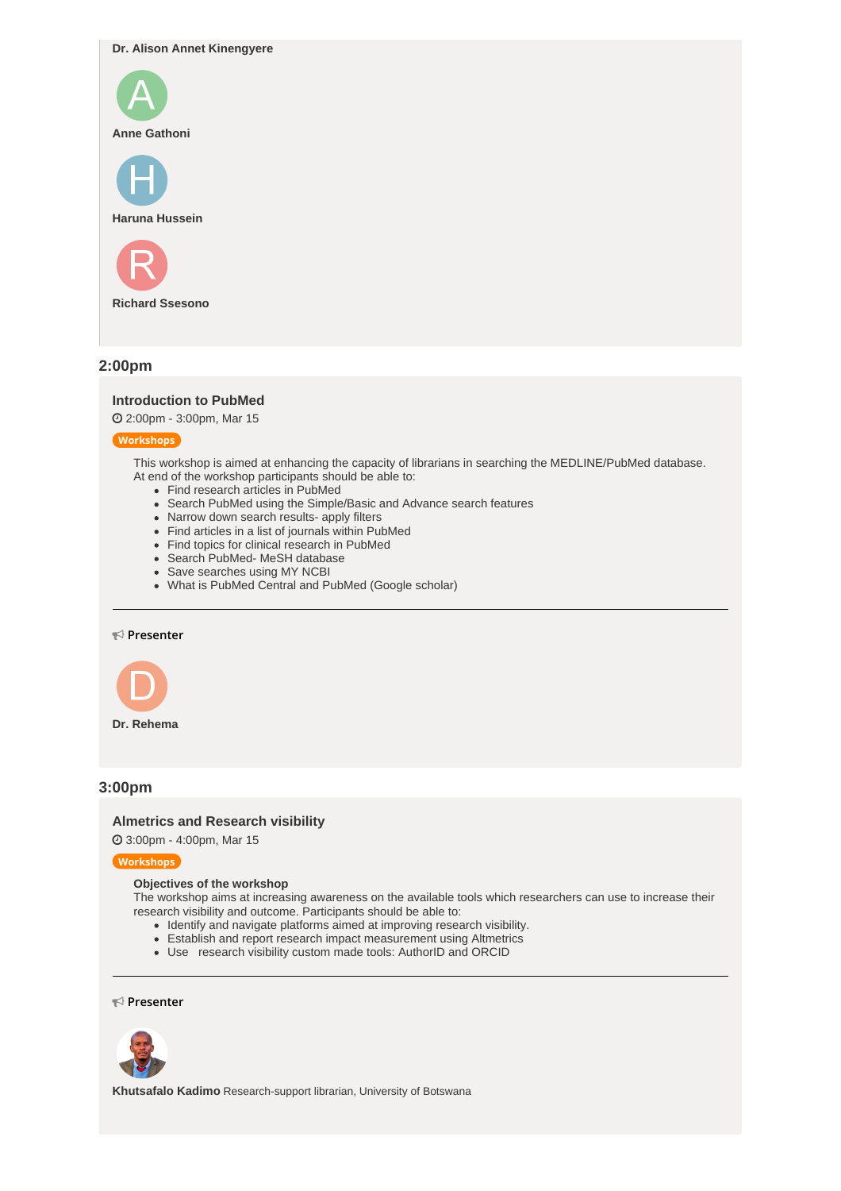**Dr. Alison Annet Kinengyere**



**Richard Ssesono**

## **2:00pm**

### **[Introduction](https://whova.com/agenda_embedded/session/icmla_202203/2184289/) to PubMed**

2:00pm - 3:00pm, Mar 15

#### **Workshops**

This workshop is aimed at enhancing the capacity of librarians in searching the MEDLINE/PubMed database. At end of the workshop participants should be able to:

- Find research articles in PubMed
- Search PubMed using the Simple/Basic and Advance search features
- Narrow down search results- apply filters
- Find articles in a list of journals within PubMed
- Find topics for clinical research in PubMed
- Search PubMed- MeSH database
- Save searches using MY NCBI
- What is PubMed Central and PubMed (Google scholar)

#### **Presenter**



## **3:00pm**

#### **[Almetrics](https://whova.com/agenda_embedded/session/icmla_202203/2184290/) and Research visibility**

3:00pm - 4:00pm, Mar 15

#### **Workshops**

## **Objectives of the workshop**

The workshop aims at increasing awareness on the available tools which researchers can use to increase their research visibility and outcome. Participants should be able to:

- Identify and navigate platforms aimed at improving research visibility.
- Establish and report research impact measurement using Altmetrics
- Use research visibility custom made tools: AuthorID and ORCID

#### **Presenter**



**Khutsafalo Kadimo** Research-support librarian, University of Botswana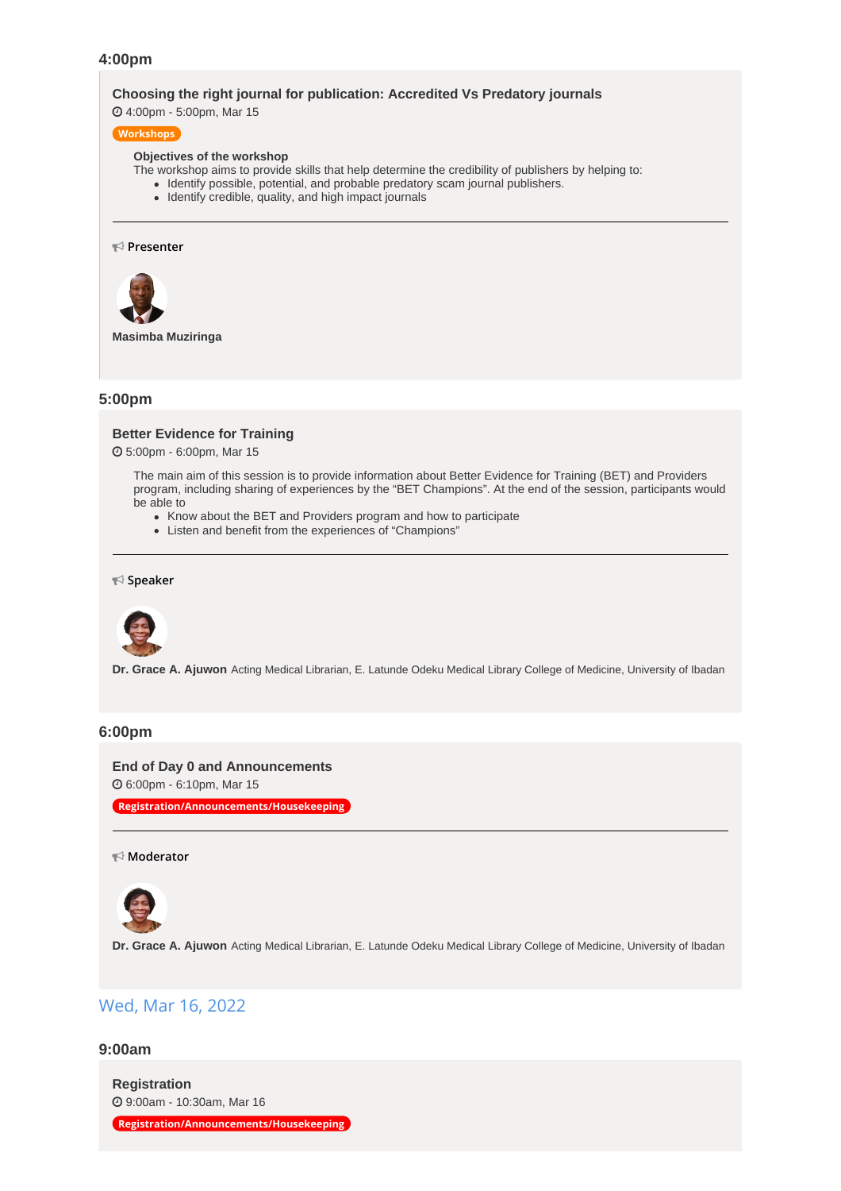## **4:00pm**

#### **Choosing the right journal for [publication:](https://whova.com/agenda_embedded/session/icmla_202203/2184291/) Accredited Vs Predatory journals**

4:00pm - 5:00pm, Mar 15

## **Workshops**

#### **Objectives of the workshop**

- The workshop aims to provide skills that help determine the credibility of publishers by helping to:
	- Identify possible, potential, and probable predatory scam journal publishers.
	- Identify credible, quality, and high impact journals

#### **Presenter**



**Masimba Muziringa**

## **5:00pm**

#### **Better [Evidence](https://whova.com/agenda_embedded/session/icmla_202203/2190814/) for Training**

5:00pm - 6:00pm, Mar 15

The main aim of this session is to provide information about Better Evidence for Training (BET) and Providers program, including sharing of experiences by the "BET Champions". At the end of the session, participants would be able to

- Know about the BET and Providers program and how to participate
- Listen and benefit from the experiences of "Champions"

## **Speaker**



**Dr. Grace A. Ajuwon** Acting Medical Librarian, E. Latunde Odeku Medical Library College of Medicine, University of Ibadan

#### **6:00pm**

#### **End of Day 0 and [Announcements](https://whova.com/agenda_embedded/session/icmla_202203/2184293/)**

6:00pm - 6:10pm, Mar 15

**Registration/Announcements/Housekeeping**

#### **Moderator**



**Dr. Grace A. Ajuwon** Acting Medical Librarian, E. Latunde Odeku Medical Library College of Medicine, University of Ibadan

## Wed, Mar 16, 2022

## **9:00am**

**[Registration](https://whova.com/agenda_embedded/session/icmla_202203/2184304/)** 9:00am - 10:30am, Mar 16

**Registration/Announcements/Housekeeping**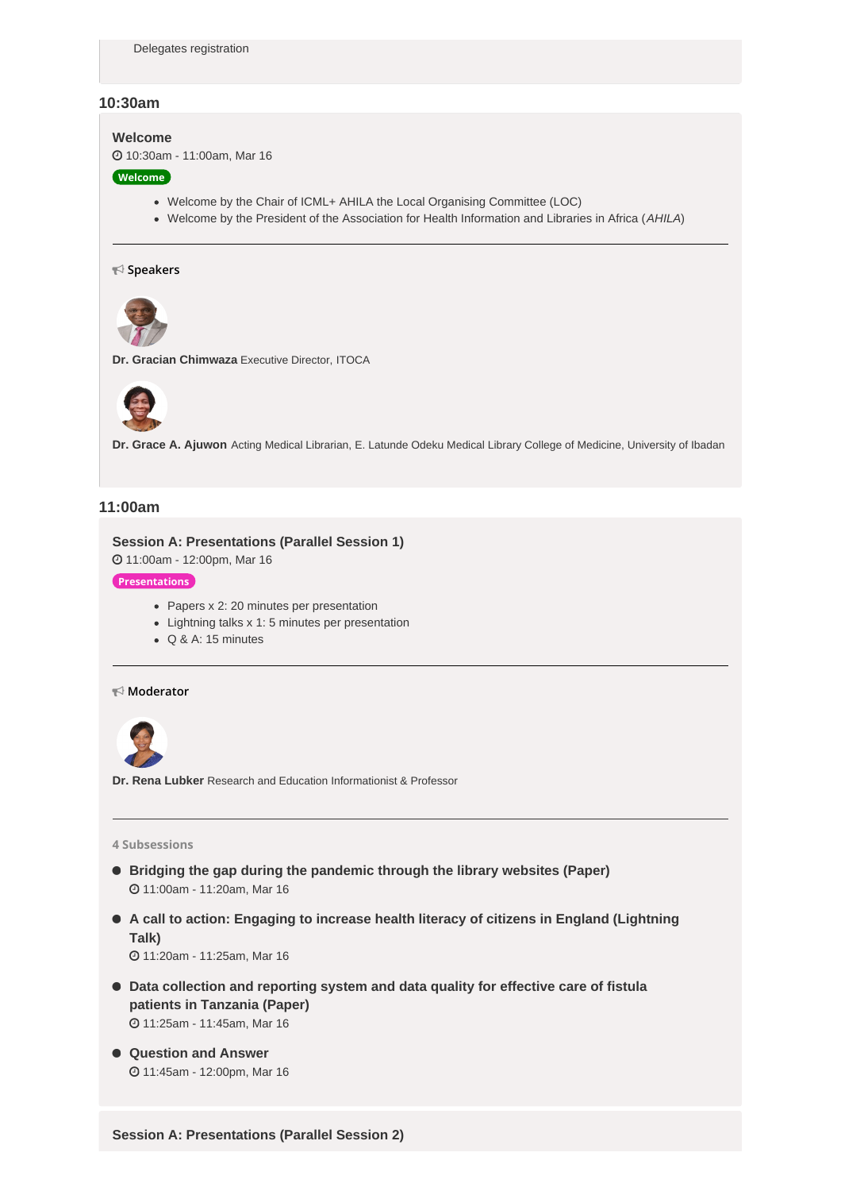## **10:30am**

#### **[Welcome](https://whova.com/agenda_embedded/session/icmla_202203/2184306/)**

10:30am - 11:00am, Mar 16

#### **Welcome**

- Welcome by the Chair of ICML+ AHILA the Local Organising Committee (LOC)
- Welcome by the President of the Association for Health Information and Libraries in Africa (*AHILA*)

#### **Speakers**



**Dr. Gracian Chimwaza** Executive Director, ITOCA



**Dr. Grace A. Ajuwon** Acting Medical Librarian, E. Latunde Odeku Medical Library College of Medicine, University of Ibadan

## **11:00am**

## **Session A: [Presentations](https://whova.com/agenda_embedded/session/icmla_202203/2184393/) (Parallel Session 1)**

11:00am - 12:00pm, Mar 16

## **Presentations**

- Papers x 2: 20 minutes per presentation
- Lightning talks x 1: 5 minutes per presentation
- Q & A: 15 minutes

## **Moderator**



**Dr. Rena Lubker** Research and Education Informationist & Professor

#### **4 Subsessions**

- **Bridging the gap during the [pandemic](https://whova.com/embedded/subsession/icmla_202203/2184393/2184416/) through the library websites (Paper)** 11:00am - 11:20am, Mar 16
- **A call to action: Engaging to increase health literacy of citizens in England [\(Lightning](https://whova.com/embedded/subsession/icmla_202203/2184393/2184419/) Talk)**

11:20am - 11:25am, Mar 16

- **Data [collection](https://whova.com/embedded/subsession/icmla_202203/2184393/2184420/) and reporting system and data quality for effective care of fistula patients in Tanzania (Paper)** 11:25am - 11:45am, Mar 16
- **[Question](https://whova.com/embedded/subsession/icmla_202203/2184393/2184421/) and Answer** 11:45am - 12:00pm, Mar 16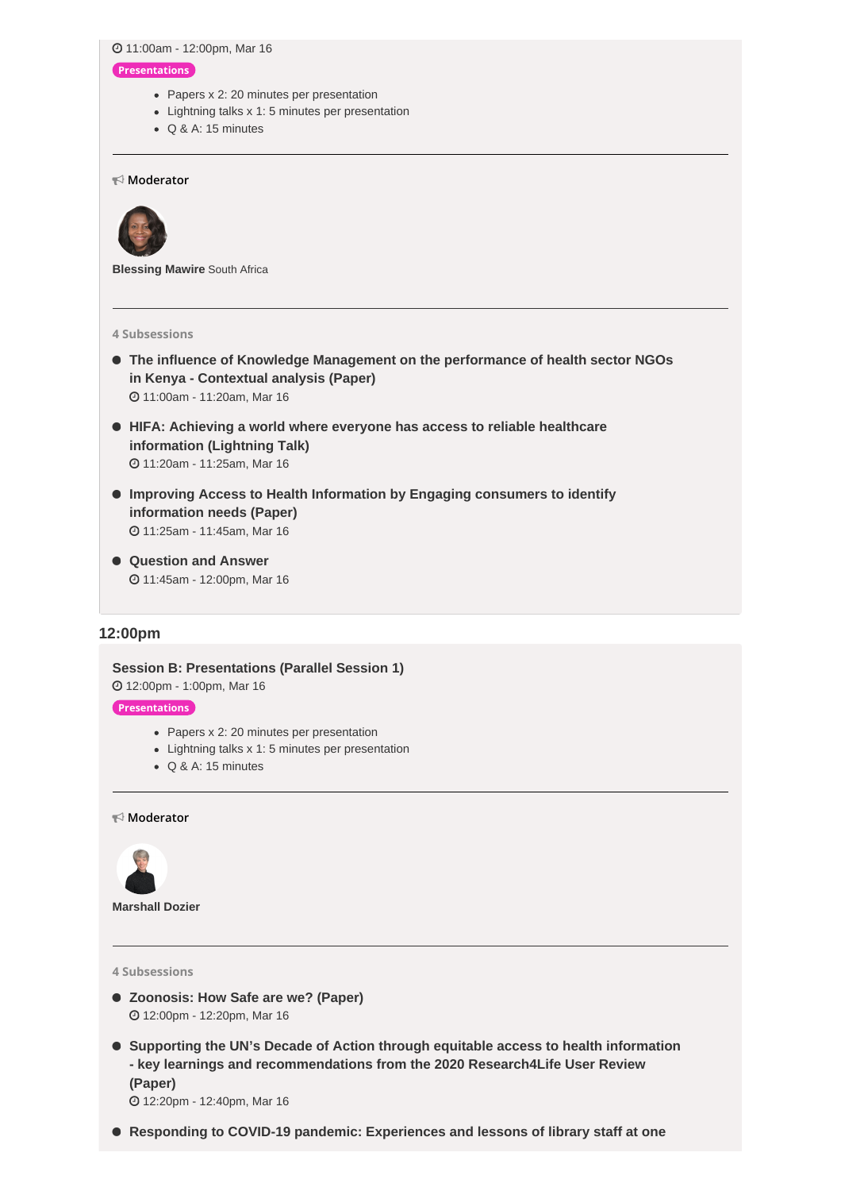11:00am - 12:00pm, Mar 16

#### **Presentations**

- Papers x 2: 20 minutes per presentation
- Lightning talks x 1: 5 minutes per presentation
- Q & A: 15 minutes

### **Moderator**



**Blessing Mawire** South Africa

#### **4 Subsessions**

- **The influence of Knowledge [Management](https://whova.com/embedded/subsession/icmla_202203/2184424/2184425/) on the performance of health sector NGOs in Kenya - Contextual analysis (Paper)** 11:00am - 11:20am, Mar 16
- **HIFA: Achieving a world where everyone has access to reliable healthcare [information](https://whova.com/embedded/subsession/icmla_202203/2184424/2184426/) (Lightning Talk)** 11:20am - 11:25am, Mar 16
- **Improving Access to Health [Information](https://whova.com/embedded/subsession/icmla_202203/2184424/2184427/) by Engaging consumers to identify information needs (Paper)** 11:25am - 11:45am, Mar 16
- **[Question](https://whova.com/embedded/subsession/icmla_202203/2184424/2184428/) and Answer** 11:45am - 12:00pm, Mar 16

## **12:00pm**

**Session B: [Presentations](https://whova.com/agenda_embedded/session/icmla_202203/2184444/) (Parallel Session 1)** 12:00pm - 1:00pm, Mar 16 **Presentations**

- Papers x 2: 20 minutes per presentation
- Lightning talks x 1: 5 minutes per presentation
- Q & A: 15 minutes

#### **Moderator**



**Marshall Dozier**

## **4 Subsessions**

- **[Zoonosis:](https://whova.com/embedded/subsession/icmla_202203/2184444/2184445/) How Safe are we? (Paper)** 12:00pm - 12:20pm, Mar 16
- **Supporting the UN's Decade of Action through equitable access to health information - key learnings and [recommendations](https://whova.com/embedded/subsession/icmla_202203/2184444/2184446/) from the 2020 Research4Life User Review (Paper)**

12:20pm - 12:40pm, Mar 16

**Responding to COVID-19 pandemic: [Experiences](https://whova.com/embedded/subsession/icmla_202203/2184444/2184447/) and lessons of library staff at one**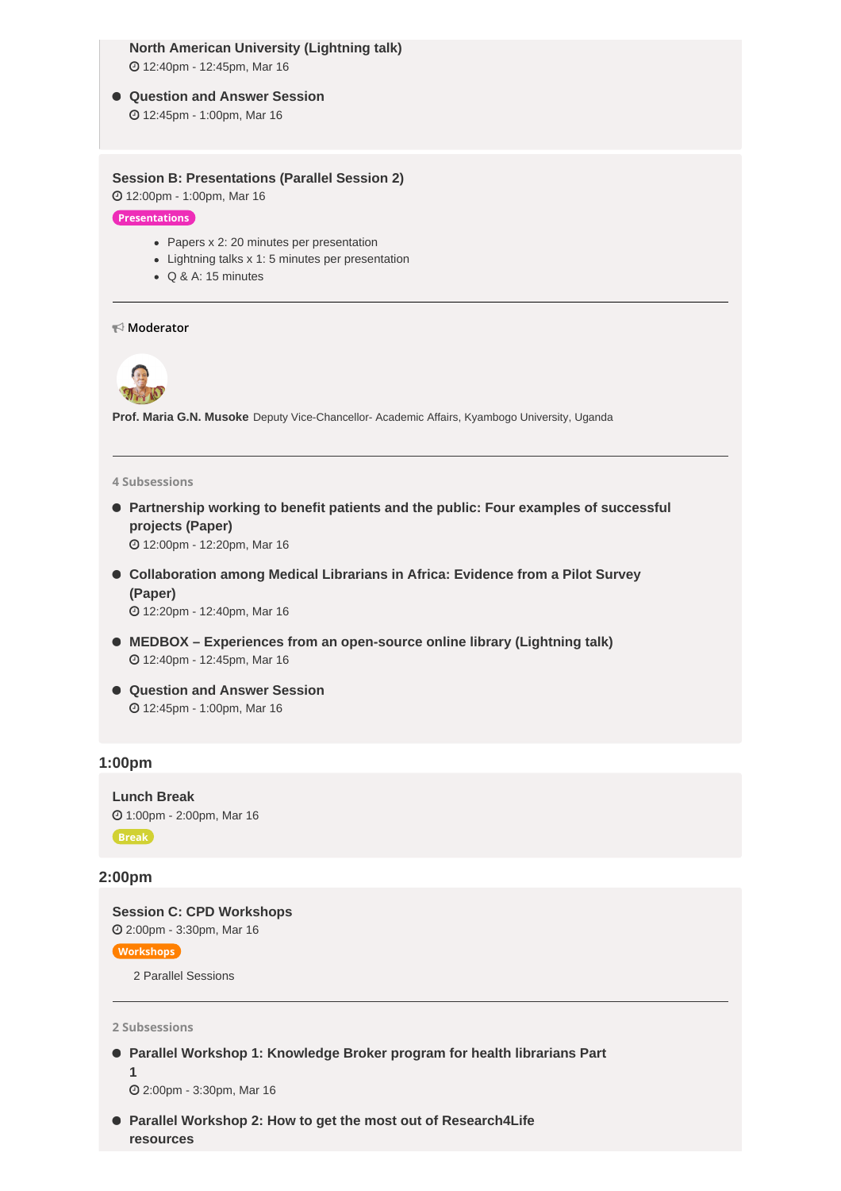## **North American University (Lightning talk)**

12:40pm - 12:45pm, Mar 16

- **[Question](https://whova.com/embedded/subsession/icmla_202203/2184444/2184448/) and Answer Session**
	- 12:45pm 1:00pm, Mar 16

## **Session B: [Presentations](https://whova.com/agenda_embedded/session/icmla_202203/2184451/) (Parallel Session 2)**

12:00pm - 1:00pm, Mar 16

**Presentations**

- Papers x 2: 20 minutes per presentation
- Lightning talks x 1: 5 minutes per presentation
- Q & A: 15 minutes

**Moderator**



**Prof. Maria G.N. Musoke** Deputy Vice-Chancellor- Academic Affairs, Kyambogo University, Uganda

#### **4 Subsessions**

 **[Partnership](https://whova.com/embedded/subsession/icmla_202203/2184451/2184452/) working to benefit patients and the public: Four examples of successful projects (Paper)**

12:00pm - 12:20pm, Mar 16

 **[Collaboration](https://whova.com/embedded/subsession/icmla_202203/2184451/2184453/) among Medical Librarians in Africa: Evidence from a Pilot Survey (Paper)**

12:20pm - 12:40pm, Mar 16

- **MEDBOX – Experiences from an [open-source](https://whova.com/embedded/subsession/icmla_202203/2184451/2184454/) online library (Lightning talk)** 12:40pm - 12:45pm, Mar 16
- **[Question](https://whova.com/embedded/subsession/icmla_202203/2184451/2184455/) and Answer Session** 12:45pm - 1:00pm, Mar 16

## **1:00pm**

**[Lunch](https://whova.com/agenda_embedded/session/icmla_202203/2184370/) Break** 1:00pm - 2:00pm, Mar 16 **Break**

### **2:00pm**

**Session C: CPD [Workshops](https://whova.com/agenda_embedded/session/icmla_202203/2184371/)** 2:00pm - 3:30pm, Mar 16

**Workshops**

2 Parallel Sessions

**2 Subsessions**

 **Parallel Workshop 1: [Knowledge](https://whova.com/embedded/subsession/icmla_202203/2184371/2184387/) Broker program for health librarians Part 1**

2:00pm - 3:30pm, Mar 16

 **Parallel Workshop 2: How to get the most out of [Research4Life](https://whova.com/embedded/subsession/icmla_202203/2184371/2184388/) resources**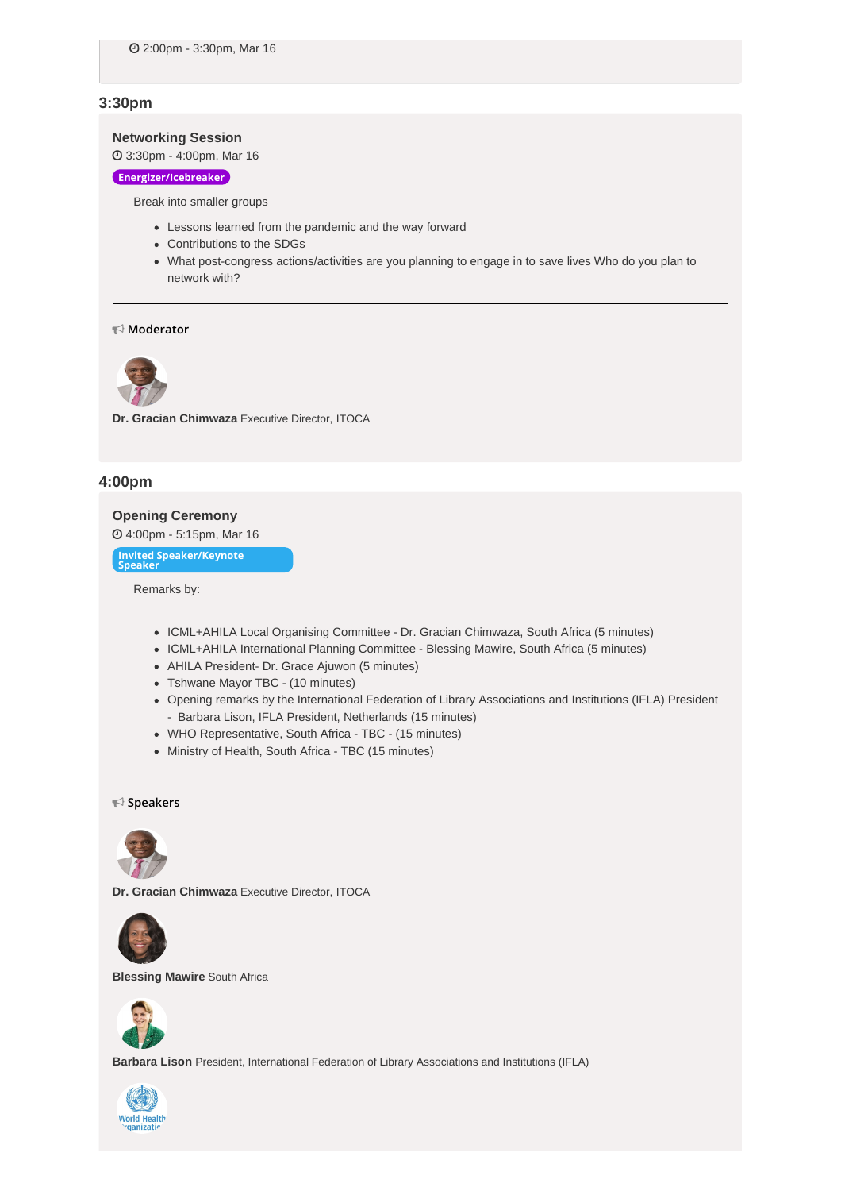## **3:30pm**

## **[Networking](https://whova.com/agenda_embedded/session/icmla_202203/2184372/) Session**

3:30pm - 4:00pm, Mar 16

#### **Energizer/Icebreaker**

Break into smaller groups

- Lessons learned from the pandemic and the way forward
- Contributions to the SDGs
- What post-congress actions/activities are you planning to engage in to save lives Who do you plan to network with?

#### **Moderator**



**Dr. Gracian Chimwaza** Executive Director, ITOCA

## **4:00pm**

#### **Opening [Ceremony](https://whova.com/agenda_embedded/session/icmla_202203/2184374/)**

4:00pm - 5:15pm, Mar 16

**Invited Speaker/Keynote Speaker**

Remarks by:

- ICML+AHILA Local Organising Committee Dr. Gracian Chimwaza, South Africa (5 minutes)
- ICML+AHILA International Planning Committee Blessing Mawire, South Africa (5 minutes)
- AHILA President- Dr. Grace Ajuwon (5 minutes)
- Tshwane Mayor TBC (10 minutes)
- Opening remarks by the International Federation of Library Associations and Institutions (IFLA) President - Barbara Lison, IFLA President, Netherlands (15 minutes)
- WHO Representative, South Africa TBC (15 minutes)
- Ministry of Health, South Africa TBC (15 minutes)

#### **Speakers**



**Dr. Gracian Chimwaza** Executive Director, ITOCA



**Blessing Mawire** South Africa



**Barbara Lison** President, International Federation of Library Associations and Institutions (IFLA)

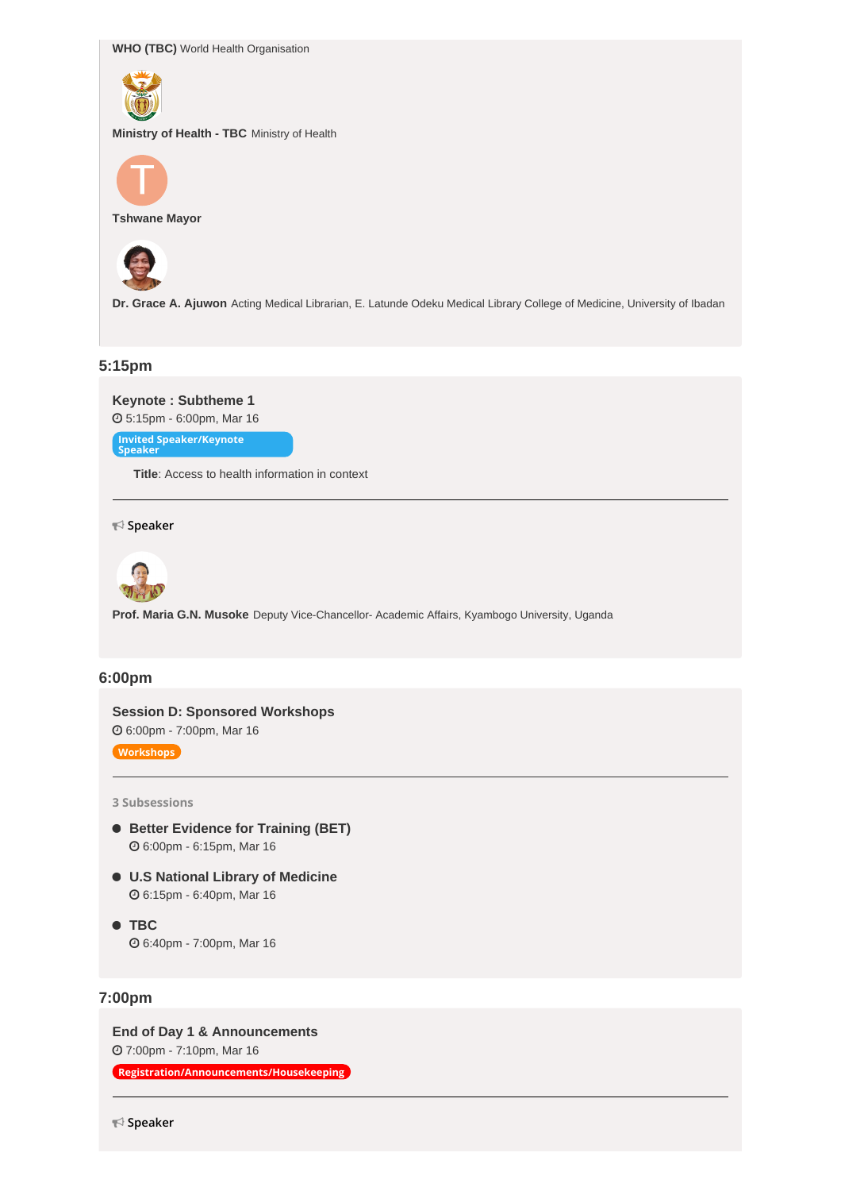**WHO (TBC)** World Health Organisation



**Ministry of Health - TBC** Ministry of Health



**Tshwane Mayor**



**Dr. Grace A. Ajuwon** Acting Medical Librarian, E. Latunde Odeku Medical Library College of Medicine, University of Ibadan

## **5:15pm**

**Keynote : [Subtheme](https://whova.com/agenda_embedded/session/icmla_202203/2184375/) 1** 5:15pm - 6:00pm, Mar 16 **Invited Speaker/Keynote Speaker**

**Title**: Access to health information in context

**Speaker**



**Prof. Maria G.N. Musoke** Deputy Vice-Chancellor- Academic Affairs, Kyambogo University, Uganda

## **6:00pm**

**Session D: Sponsored [Workshops](https://whova.com/agenda_embedded/session/icmla_202203/2184376/)** 6:00pm - 7:00pm, Mar 16

**Workshops**

**3 Subsessions**

- **Better [Evidence](https://whova.com/embedded/subsession/icmla_202203/2184376/2184377/) for Training (BET)** 6:00pm - 6:15pm, Mar 16
- **U.S National Library of [Medicine](https://whova.com/embedded/subsession/icmla_202203/2184376/2184378/)** 6:15pm - 6:40pm, Mar 16
- **[TBC](https://whova.com/embedded/subsession/icmla_202203/2184376/2197143/)** 6:40pm - 7:00pm, Mar 16

## **7:00pm**

**End of Day 1 & [Announcements](https://whova.com/agenda_embedded/session/icmla_202203/2184443/)** 7:00pm - 7:10pm, Mar 16

**Registration/Announcements/Housekeeping**

**Speaker**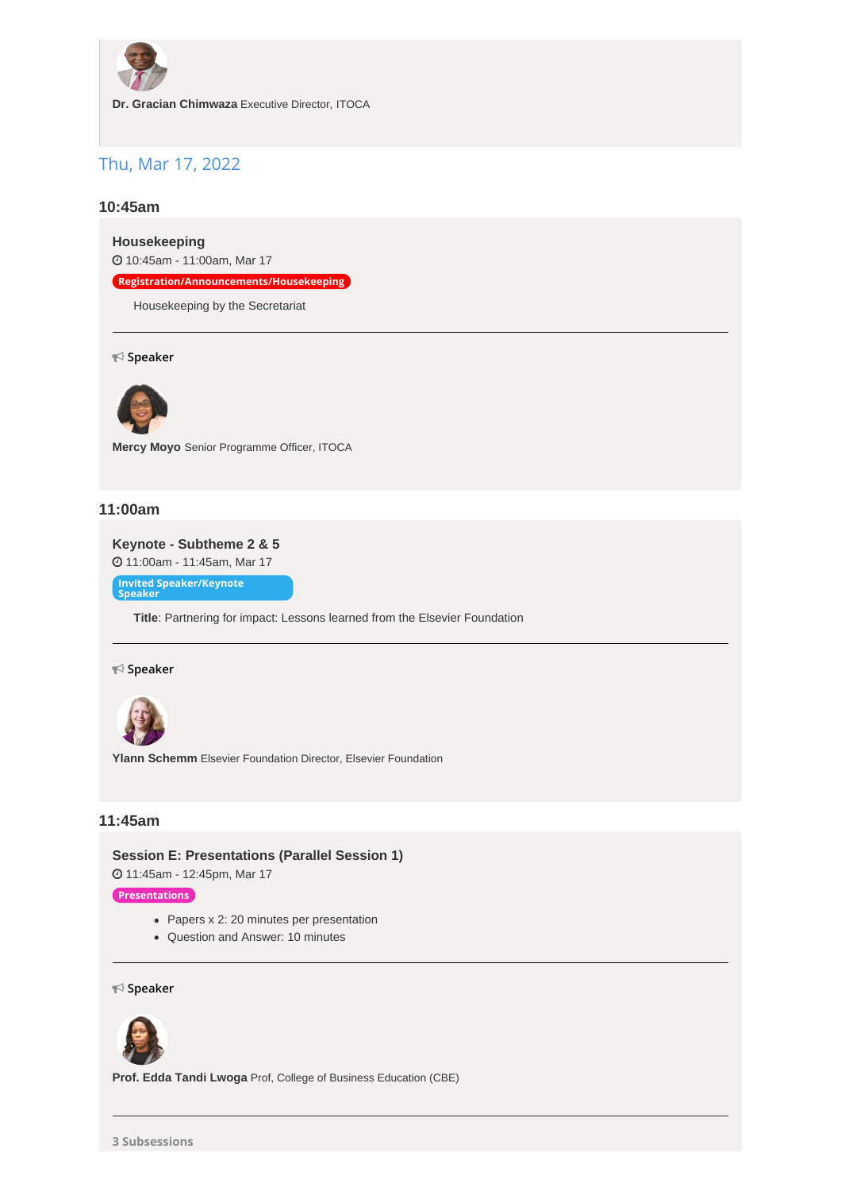

**Dr. Gracian Chimwaza** Executive Director, ITOCA

## Thu, Mar 17, 2022

## **10:45am**

**[Housekeeping](https://whova.com/agenda_embedded/session/icmla_202203/2184566/)**

10:45am - 11:00am, Mar 17

**Registration/Announcements/Housekeeping**

Housekeeping by the Secretariat

**Speaker**



**Mercy Moyo** Senior Programme Officer, ITOCA

## **11:00am**

**Keynote - [Subtheme](https://whova.com/agenda_embedded/session/icmla_202203/2184568/) 2 & 5** 11:00am - 11:45am, Mar 17

**Invited Speaker/Keynote Speaker**

**Title**: Partnering for impact: Lessons learned from the Elsevier Foundation

#### **Speaker**



**Ylann Schemm** Elsevier Foundation Director, Elsevier Foundation

## **11:45am**

**Session E: [Presentations](https://whova.com/agenda_embedded/session/icmla_202203/2184585/) (Parallel Session 1)** 11:45am - 12:45pm, Mar 17

**Presentations**

- Papers x 2: 20 minutes per presentation
- Question and Answer: 10 minutes

**Speaker**



**Prof. Edda Tandi Lwoga** Prof, College of Business Education (CBE)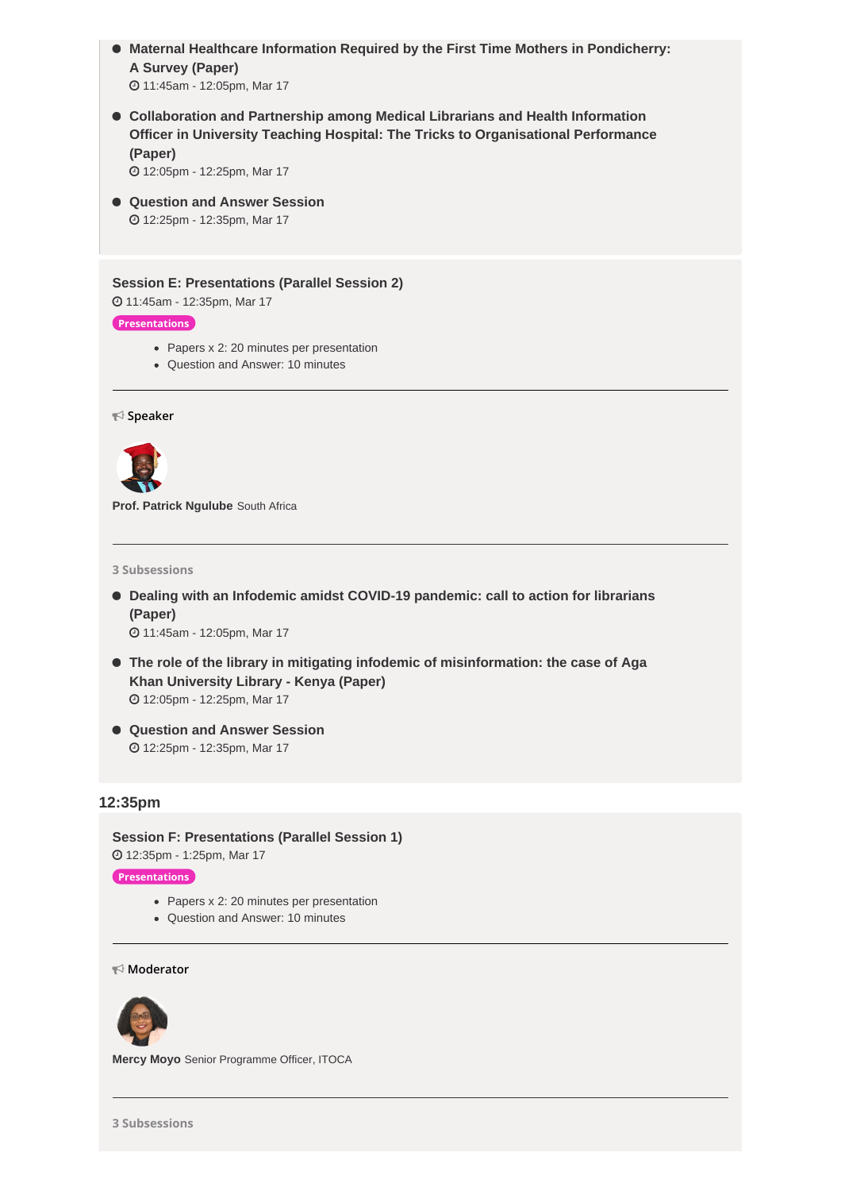- **Maternal Healthcare Information Required by the First Time Mothers in [Pondicherry:](https://whova.com/embedded/subsession/icmla_202203/2184585/2184586/) A Survey (Paper)** 11:45am - 12:05pm, Mar 17
- **Collaboration and Partnership among Medical Librarians and Health Information Officer in University Teaching Hospital: The Tricks to [Organisational](https://whova.com/embedded/subsession/icmla_202203/2184585/2184587/) Performance (Paper)**

12:05pm - 12:25pm, Mar 17

 **[Question](https://whova.com/embedded/subsession/icmla_202203/2184585/2184593/) and Answer Session** 12:25pm - 12:35pm, Mar 17

### **Session E: [Presentations](https://whova.com/agenda_embedded/session/icmla_202203/2184594/) (Parallel Session 2)**

11:45am - 12:35pm, Mar 17

## **Presentations**

- Papers x 2: 20 minutes per presentation
- Question and Answer: 10 minutes

**Speaker**



**Prof. Patrick Ngulube** South Africa

**3 Subsessions**

 **Dealing with an Infodemic amidst COVID-19 [pandemic:](https://whova.com/embedded/subsession/icmla_202203/2184594/2184595/) call to action for librarians (Paper)**

11:45am - 12:05pm, Mar 17

- **The role of the library in mitigating infodemic of [misinformation:](https://whova.com/embedded/subsession/icmla_202203/2184594/2184596/) the case of Aga Khan University Library - Kenya (Paper)** 12:05pm - 12:25pm, Mar 17
- **[Question](https://whova.com/embedded/subsession/icmla_202203/2184594/2184597/) and Answer Session** 12:25pm - 12:35pm, Mar 17

## **12:35pm**

**Session F: [Presentations](https://whova.com/agenda_embedded/session/icmla_202203/2184604/) (Parallel Session 1)** 12:35pm - 1:25pm, Mar 17

## **Presentations**

- Papers x 2: 20 minutes per presentation
- Question and Answer: 10 minutes

**Moderator**



**Mercy Moyo** Senior Programme Officer, ITOCA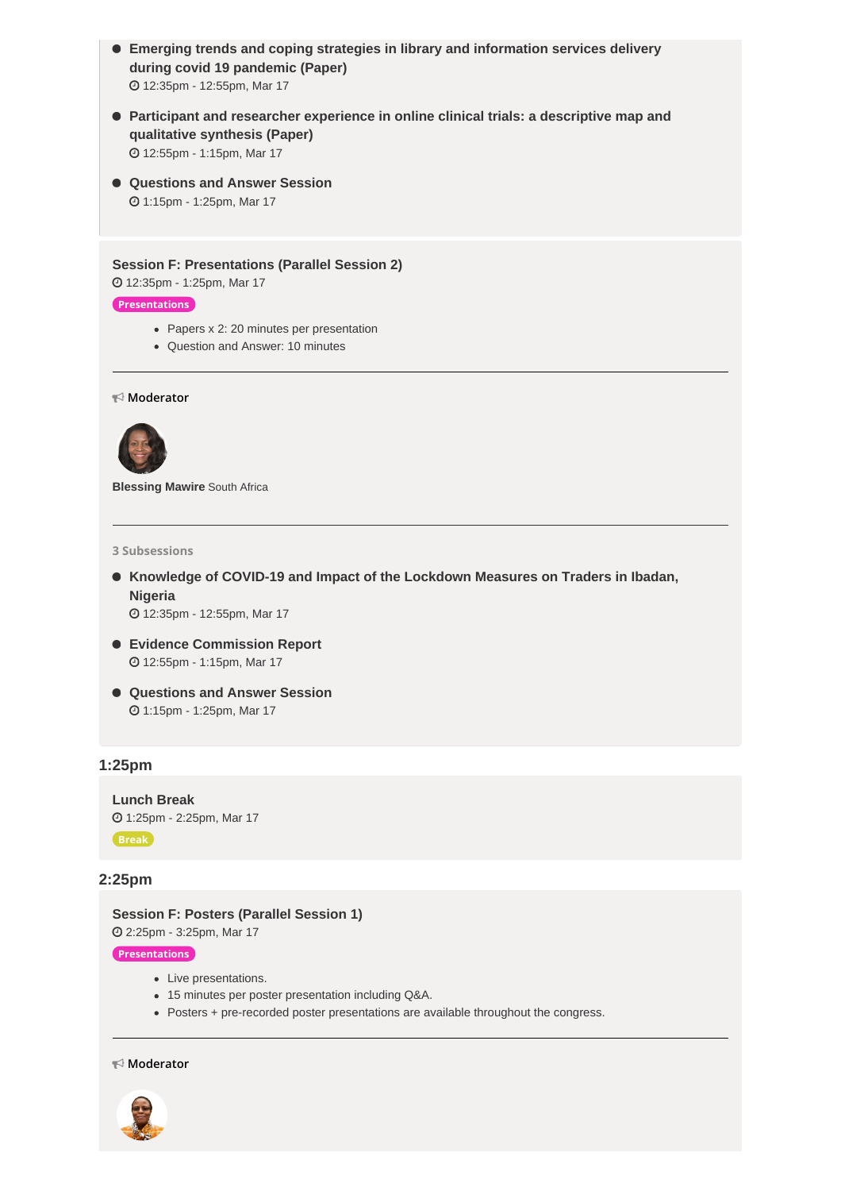- **Emerging trends and coping strategies in library and [information](https://whova.com/embedded/subsession/icmla_202203/2184604/2184616/) services delivery during covid 19 pandemic (Paper)** 12:35pm - 12:55pm, Mar 17
- **Participant and researcher experience in online clinical trials: a [descriptive](https://whova.com/embedded/subsession/icmla_202203/2184604/2184622/) map and qualitative synthesis (Paper)** 12:55pm - 1:15pm, Mar 17
- **[Questions](https://whova.com/embedded/subsession/icmla_202203/2184604/2184624/) and Answer Session** 1:15pm - 1:25pm, Mar 17

**Session F: [Presentations](https://whova.com/agenda_embedded/session/icmla_202203/2184625/) (Parallel Session 2)**

12:35pm - 1:25pm, Mar 17

### **Presentations**

- Papers x 2: 20 minutes per presentation
- Question and Answer: 10 minutes

**Moderator**



**Blessing Mawire** South Africa

**3 Subsessions**

 **[Knowledge](https://whova.com/embedded/subsession/icmla_202203/2184625/2184626/) of COVID-19 and Impact of the Lockdown Measures on Traders in Ibadan, Nigeria**

12:35pm - 12:55pm, Mar 17

- **Evidence [Commission](https://whova.com/embedded/subsession/icmla_202203/2184625/2184627/) Report** 12:55pm - 1:15pm, Mar 17
- **[Questions](https://whova.com/embedded/subsession/icmla_202203/2184625/2184628/) and Answer Session** 1:15pm - 1:25pm, Mar 17

## **1:25pm**

**[Lunch](https://whova.com/agenda_embedded/session/icmla_202203/2184635/) Break** 1:25pm - 2:25pm, Mar 17 **Break**

## **2:25pm**

**Session F: Posters [\(Parallel](https://whova.com/agenda_embedded/session/icmla_202203/2184642/) Session 1)** 2:25pm - 3:25pm, Mar 17

**Presentations**

- Live presentations.
- 15 minutes per poster presentation including Q&A.
- Posters + pre-recorded poster presentations are available throughout the congress.

**Moderator**

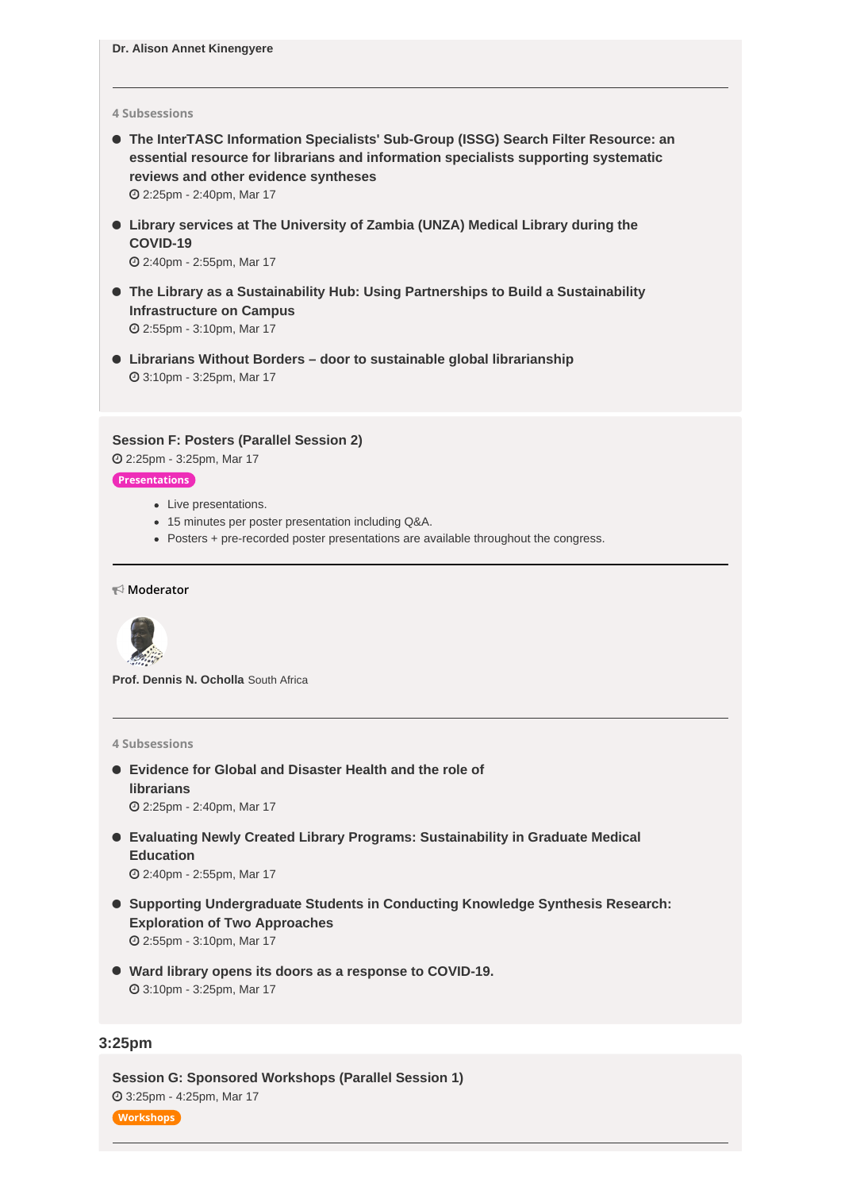#### **4 Subsessions**

 **The InterTASC [Information](https://whova.com/embedded/subsession/icmla_202203/2184642/2184653/) Specialists' Sub-Group (ISSG) Search Filter Resource: an essential resource for librarians and information specialists supporting systematic reviews and other evidence syntheses** 2:25pm - 2:40pm, Mar 17

 **Library services at The [University](https://whova.com/embedded/subsession/icmla_202203/2184642/2184661/) of Zambia (UNZA) Medical Library during the COVID-19**

2:40pm - 2:55pm, Mar 17

- **The Library as a [Sustainability](https://whova.com/embedded/subsession/icmla_202203/2184642/2184662/) Hub: Using Partnerships to Build a Sustainability Infrastructure on Campus** 2:55pm - 3:10pm, Mar 17
- **Librarians Without Borders – door to sustainable global [librarianship](https://whova.com/embedded/subsession/icmla_202203/2184642/2184673/)** 3:10pm - 3:25pm, Mar 17

**Session F: Posters [\(Parallel](https://whova.com/agenda_embedded/session/icmla_202203/2184674/) Session 2)**

2:25pm - 3:25pm, Mar 17

## **Presentations**

- Live presentations.
- 15 minutes per poster presentation including Q&A.
- Posters + pre-recorded poster presentations are available throughout the congress.

#### **Moderator**



**Prof. Dennis N. Ocholla** South Africa

#### **4 Subsessions**

- **[Evidence](https://whova.com/embedded/subsession/icmla_202203/2184674/2184675/) for Global and Disaster Health and the role of librarians** 2:25pm - 2:40pm, Mar 17
	-
- **Evaluating Newly Created Library Programs: [Sustainability](https://whova.com/embedded/subsession/icmla_202203/2184674/2184676/) in Graduate Medical Education**

2:40pm - 2:55pm, Mar 17

- **Supporting [Undergraduate](https://whova.com/embedded/subsession/icmla_202203/2184674/2184677/) Students in Conducting Knowledge Synthesis Research: Exploration of Two Approaches** 2:55pm - 3:10pm, Mar 17
- **Ward library opens its doors as a response to [COVID-19](https://whova.com/embedded/subsession/icmla_202203/2184674/2184678/).** 3:10pm - 3:25pm, Mar 17

## **3:25pm**

**Session G: Sponsored [Workshops](https://whova.com/agenda_embedded/session/icmla_202203/2184700/) (Parallel Session 1)** 3:25pm - 4:25pm, Mar 17

**Workshops**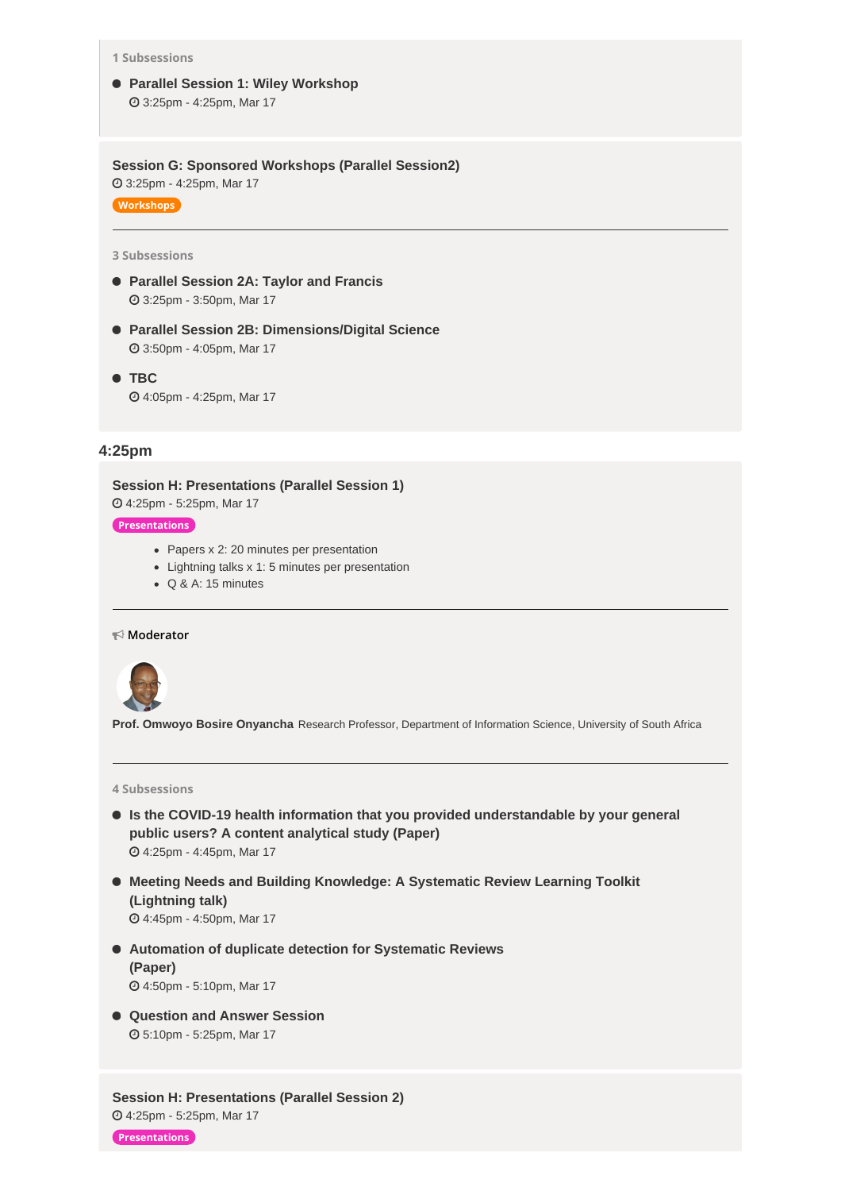**1 Subsessions**

 **Parallel Session 1: Wiley [Workshop](https://whova.com/embedded/subsession/icmla_202203/2184700/2184701/)** 3:25pm - 4:25pm, Mar 17

**Session G: Sponsored [Workshops](https://whova.com/agenda_embedded/session/icmla_202203/2191069/) (Parallel Session2)** 3:25pm - 4:25pm, Mar 17

**Workshops**

## **3 Subsessions**

- **Parallel [Session](https://whova.com/embedded/subsession/icmla_202203/2191069/2191071/) 2A: Taylor and Francis** 3:25pm - 3:50pm, Mar 17
- **Parallel Session 2B: [Dimensions/Digital](https://whova.com/embedded/subsession/icmla_202203/2191069/2191072/) Science** 3:50pm - 4:05pm, Mar 17
- **[TBC](https://whova.com/embedded/subsession/icmla_202203/2191069/2197241/)** 4:05pm - 4:25pm, Mar 17

## **4:25pm**

**Session H: [Presentations](https://whova.com/agenda_embedded/session/icmla_202203/2184889/) (Parallel Session 1)**

4:25pm - 5:25pm, Mar 17

#### **Presentations**

- Papers x 2: 20 minutes per presentation
- Lightning talks x 1: 5 minutes per presentation
- Q & A: 15 minutes

#### **Moderator**



**Prof. Omwoyo Bosire Onyancha** Research Professor, Department of Information Science, University of South Africa

#### **4 Subsessions**

- **Is the COVID-19 health information that you provided [understandable](https://whova.com/embedded/subsession/icmla_202203/2184889/2184890/) by your general public users? A content analytical study (Paper)** 4:25pm - 4:45pm, Mar 17
- **Meeting Needs and Building [Knowledge:](https://whova.com/embedded/subsession/icmla_202203/2184889/2184896/) A Systematic Review Learning Toolkit (Lightning talk)** 4:45pm - 4:50pm, Mar 17
- **[Automation](https://whova.com/embedded/subsession/icmla_202203/2184889/2184904/) of duplicate detection for Systematic Reviews (Paper)** 4:50pm - 5:10pm, Mar 17

 **[Question](https://whova.com/embedded/subsession/icmla_202203/2184889/2184906/) and Answer Session** 5:10pm - 5:25pm, Mar 17

**Session H: [Presentations](https://whova.com/agenda_embedded/session/icmla_202203/2184908/) (Parallel Session 2)** 4:25pm - 5:25pm, Mar 17

**Presentations**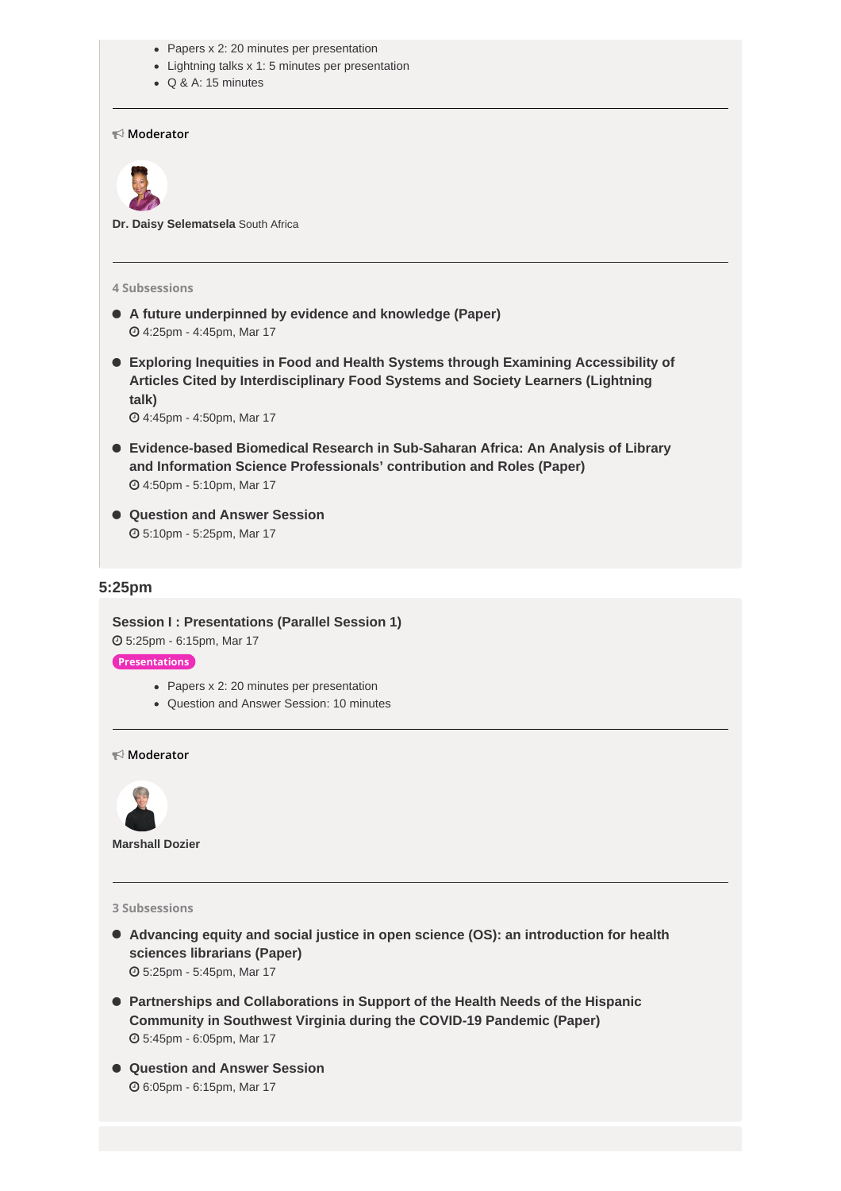- Papers x 2: 20 minutes per presentation
- Lightning talks x 1: 5 minutes per presentation
- Q & A: 15 minutes

**Moderator**



**Dr. Daisy Selematsela** South Africa

#### **4 Subsessions**

- **A future [underpinned](https://whova.com/embedded/subsession/icmla_202203/2184908/2184909/) by evidence and knowledge (Paper)** 4:25pm - 4:45pm, Mar 17
- **Exploring Inequities in Food and Health Systems through Examining Accessibility of Articles Cited by [Interdisciplinary](https://whova.com/embedded/subsession/icmla_202203/2184908/2184910/) Food Systems and Society Learners (Lightning talk)**

4:45pm - 4:50pm, Mar 17

- **[Evidence-based](https://whova.com/embedded/subsession/icmla_202203/2184908/2184911/) Biomedical Research in Sub-Saharan Africa: An Analysis of Library and Information Science Professionals' contribution and Roles (Paper)** 4:50pm - 5:10pm, Mar 17
- **[Question](https://whova.com/embedded/subsession/icmla_202203/2184908/2184912/) and Answer Session** 5:10pm - 5:25pm, Mar 17

## **5:25pm**

**Session I : [Presentations](https://whova.com/agenda_embedded/session/icmla_202203/2184976/) (Parallel Session 1)** 5:25pm - 6:15pm, Mar 17 **Presentations**

- Papers x 2: 20 minutes per presentation
- Question and Answer Session: 10 minutes

**Moderator**



**Marshall Dozier**

### **3 Subsessions**

- **Advancing equity and social justice in open science (OS): an [introduction](https://whova.com/embedded/subsession/icmla_202203/2184976/2184979/) for health sciences librarians (Paper)** 5:25pm - 5:45pm, Mar 17
- **Partnerships and [Collaborations](https://whova.com/embedded/subsession/icmla_202203/2184976/2184981/) in Support of the Health Needs of the Hispanic Community in Southwest Virginia during the COVID-19 Pandemic (Paper)** 5:45pm - 6:05pm, Mar 17
- **[Question](https://whova.com/embedded/subsession/icmla_202203/2184976/2184990/) and Answer Session** 6:05pm - 6:15pm, Mar 17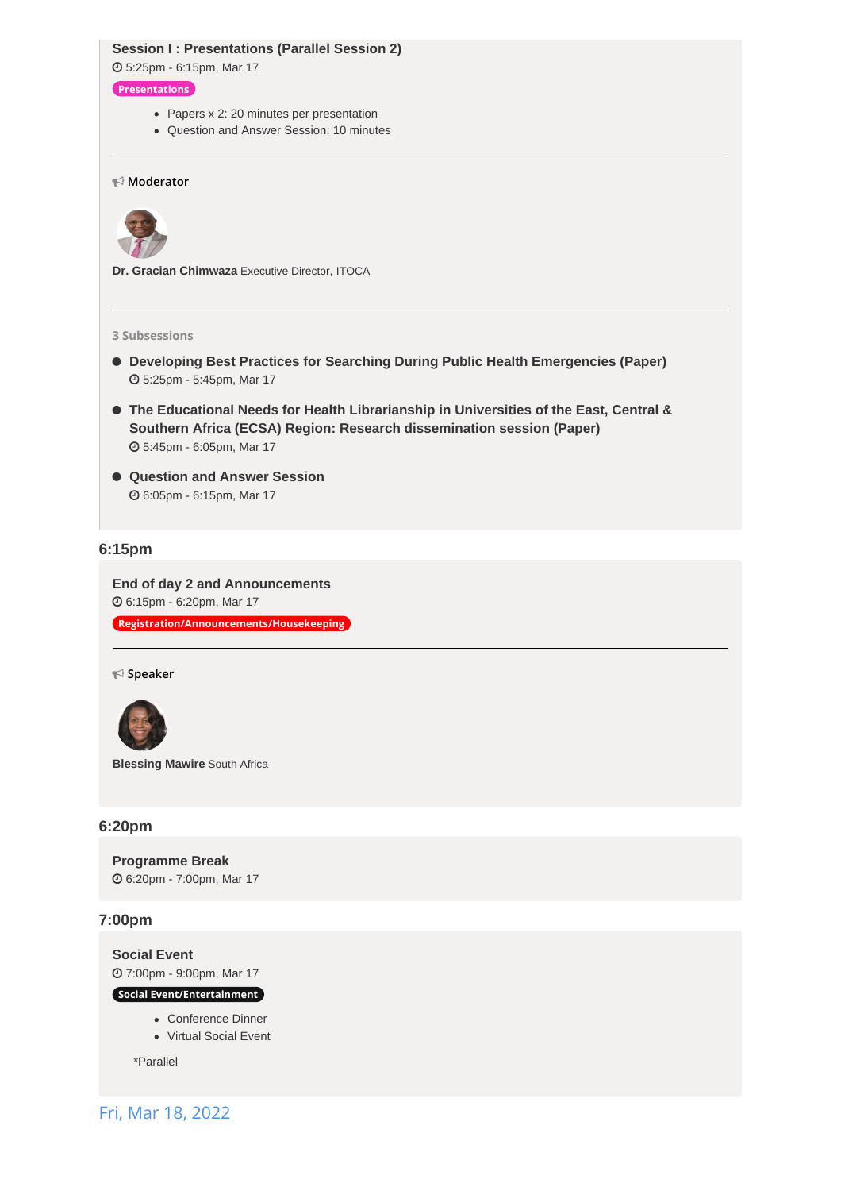## **Session I : [Presentations](https://whova.com/agenda_embedded/session/icmla_202203/2185007/) (Parallel Session 2)**

5:25pm - 6:15pm, Mar 17

## **Presentations**

- Papers x 2: 20 minutes per presentation
- Question and Answer Session: 10 minutes

## **Moderator**



**Dr. Gracian Chimwaza** Executive Director, ITOCA

#### **3 Subsessions**

- **Developing Best Practices for Searching During Public Health [Emergencies](https://whova.com/embedded/subsession/icmla_202203/2185007/2185008/) (Paper)** 5:25pm - 5:45pm, Mar 17
- **The Educational Needs for Health Librarianship in Universities of the East, Central & Southern Africa (ECSA) Region: Research [dissemination](https://whova.com/embedded/subsession/icmla_202203/2185007/2185009/) session (Paper)** 5:45pm - 6:05pm, Mar 17
- **[Question](https://whova.com/embedded/subsession/icmla_202203/2185007/2185010/) and Answer Session** 6:05pm - 6:15pm, Mar 17

## **6:15pm**

**End of day 2 and [Announcements](https://whova.com/agenda_embedded/session/icmla_202203/2185049/)** 6:15pm - 6:20pm, Mar 17 **Registration/Announcements/Housekeeping**

**Speaker**



**Blessing Mawire** South Africa

## **6:20pm**

**[Programme](https://whova.com/agenda_embedded/session/icmla_202203/2185062/) Break** 6:20pm - 7:00pm, Mar 17

## **7:00pm**

**[Social](https://whova.com/agenda_embedded/session/icmla_202203/2185066/) Event** 7:00pm - 9:00pm, Mar 17

**Social Event/Entertainment**

- Conference Dinner
- Virtual Social Event

\*Parallel

Fri, Mar 18, 2022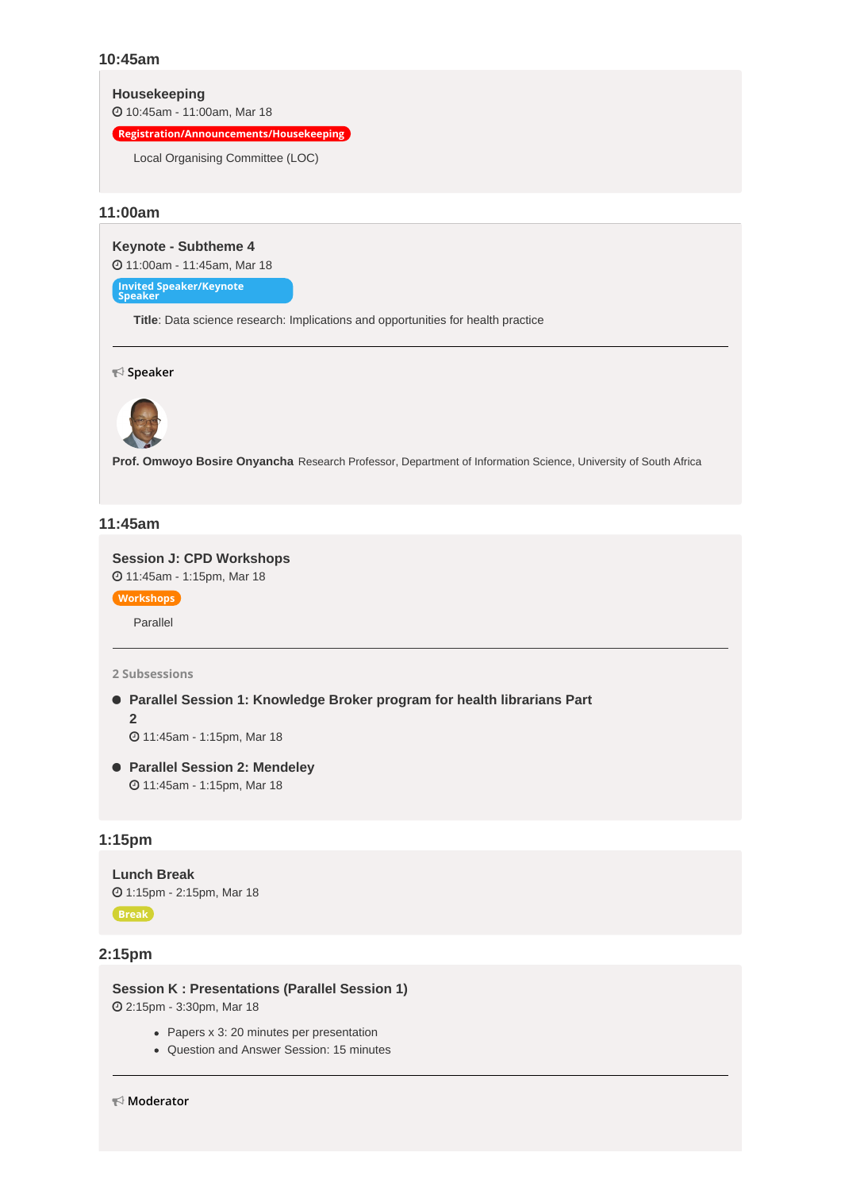## **10:45am**

**[Housekeeping](https://whova.com/agenda_embedded/session/icmla_202203/2185075/)**

10:45am - 11:00am, Mar 18

**Registration/Announcements/Housekeeping**

Local Organising Committee (LOC)

## **11:00am**

**Keynote - [Subtheme](https://whova.com/agenda_embedded/session/icmla_202203/2185078/) 4** 11:00am - 11:45am, Mar 18

**Invited Speaker/Keynote Speaker**

**Title**: Data science research: Implications and opportunities for health practice

**Speaker**



**Prof. Omwoyo Bosire Onyancha** Research Professor, Department of Information Science, University of South Africa

## **11:45am**

**Session J: CPD [Workshops](https://whova.com/agenda_embedded/session/icmla_202203/2186800/)** 11:45am - 1:15pm, Mar 18

**Workshops**

Parallel

## **2 Subsessions**

 **Parallel Session 1: [Knowledge](https://whova.com/embedded/subsession/icmla_202203/2186800/2186802/) Broker program for health librarians Part 2**

11:45am - 1:15pm, Mar 18

 **Parallel Session 2: [Mendeley](https://whova.com/embedded/subsession/icmla_202203/2186800/2186908/)** 11:45am - 1:15pm, Mar 18

## **1:15pm**

```
Lunch Break
 1:15pm - 2:15pm, Mar 18
Break
```
## **2:15pm**

**Session K : [Presentations](https://whova.com/agenda_embedded/session/icmla_202203/2186912/) (Parallel Session 1)** 2:15pm - 3:30pm, Mar 18

- Papers x 3: 20 minutes per presentation
- Question and Answer Session: 15 minutes

**Moderator**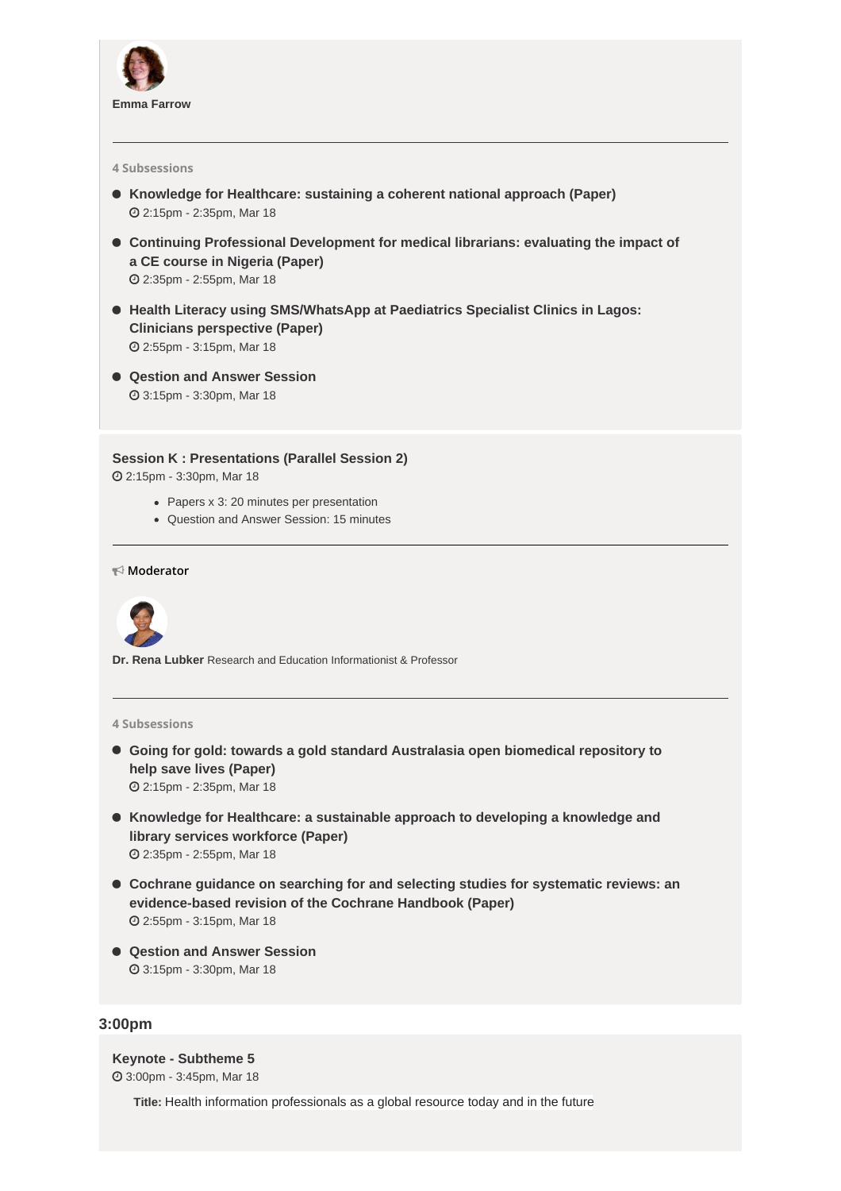

#### **4 Subsessions**

- **Knowledge for [Healthcare:](https://whova.com/embedded/subsession/icmla_202203/2186912/2186913/) sustaining a coherent national approach (Paper)** 2:15pm - 2:35pm, Mar 18
- **Continuing Professional [Development](https://whova.com/embedded/subsession/icmla_202203/2186912/2186915/) for medical librarians: evaluating the impact of a CE course in Nigeria (Paper)** 2:35pm - 2:55pm, Mar 18
- **Health Literacy using [SMS/WhatsApp](https://whova.com/embedded/subsession/icmla_202203/2186912/2186917/) at Paediatrics Specialist Clinics in Lagos: Clinicians perspective (Paper)** 2:55pm - 3:15pm, Mar 18
- **Qestion and Answer [Session](https://whova.com/embedded/subsession/icmla_202203/2186912/2186918/)** 3:15pm - 3:30pm, Mar 18

**Session K : [Presentations](https://whova.com/agenda_embedded/session/icmla_202203/2186919/) (Parallel Session 2)**

2:15pm - 3:30pm, Mar 18

- Papers x 3: 20 minutes per presentation
- Question and Answer Session: 15 minutes

**Moderator**



**Dr. Rena Lubker** Research and Education Informationist & Professor

#### **4 Subsessions**

- **Going for gold: towards a gold standard [Australasia](https://whova.com/embedded/subsession/icmla_202203/2186919/2186920/) open biomedical repository to help save lives (Paper)** 2:15pm - 2:35pm, Mar 18
- **Knowledge for Healthcare: a [sustainable](https://whova.com/embedded/subsession/icmla_202203/2186919/2186921/) approach to developing a knowledge and library services workforce (Paper)** 2:35pm - 2:55pm, Mar 18
- **Cochrane guidance on searching for and selecting studies for systematic reviews: an [evidence-based](https://whova.com/embedded/subsession/icmla_202203/2186919/2186922/) revision of the Cochrane Handbook (Paper)** 2:55pm - 3:15pm, Mar 18
- **Qestion and Answer [Session](https://whova.com/embedded/subsession/icmla_202203/2186919/2186923/)** 3:15pm - 3:30pm, Mar 18

### **3:00pm**

**Keynote - [Subtheme](https://whova.com/agenda_embedded/session/icmla_202203/2186924/) 5** 3:00pm - 3:45pm, Mar 18

**Title:** Health information professionals as a global resource today and in the future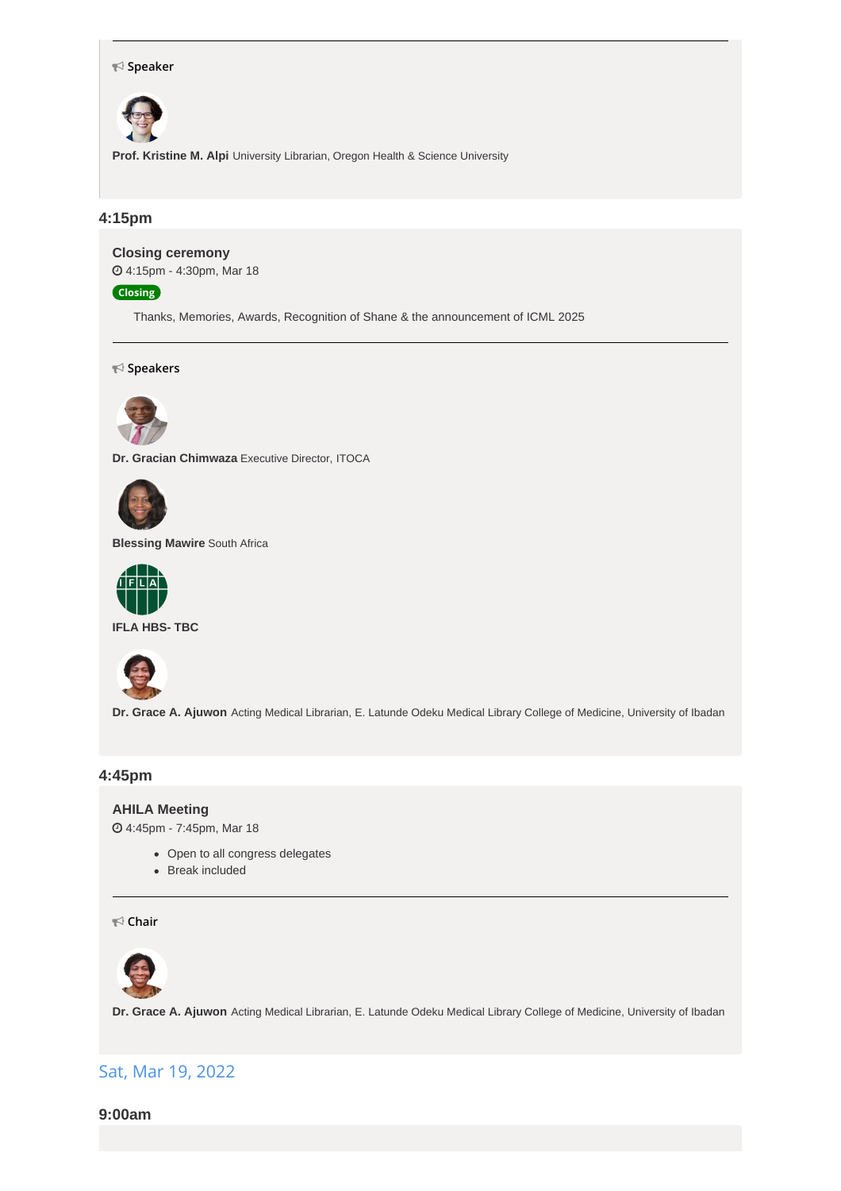#### **Speaker**



**Prof. Kristine M. Alpi** University Librarian, Oregon Health & Science University

## **4:15pm**

**Closing [ceremony](https://whova.com/agenda_embedded/session/icmla_202203/2187024/)**

4:15pm - 4:30pm, Mar 18

**Closing**

Thanks, Memories, Awards, Recognition of Shane & the announcement of ICML 2025

**Speakers**



**Dr. Gracian Chimwaza** Executive Director, ITOCA



**Blessing Mawire** South Africa



**IFLA HBS- TBC**



**Dr. Grace A. Ajuwon** Acting Medical Librarian, E. Latunde Odeku Medical Library College of Medicine, University of Ibadan

## **4:45pm**

## **AHILA [Meeting](https://whova.com/agenda_embedded/session/icmla_202203/2187026/)**

4:45pm - 7:45pm, Mar 18

- Open to all congress delegates
- Break included

**Chair**



**Dr. Grace A. Ajuwon** Acting Medical Librarian, E. Latunde Odeku Medical Library College of Medicine, University of Ibadan

## Sat, Mar 19, 2022

**9:00am**